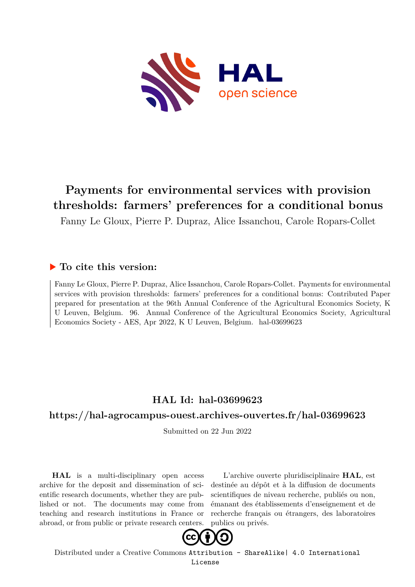

# **Payments for environmental services with provision thresholds: farmers' preferences for a conditional bonus**

Fanny Le Gloux, Pierre P. Dupraz, Alice Issanchou, Carole Ropars-Collet

## **To cite this version:**

Fanny Le Gloux, Pierre P. Dupraz, Alice Issanchou, Carole Ropars-Collet. Payments for environmental services with provision thresholds: farmers' preferences for a conditional bonus: Contributed Paper prepared for presentation at the 96th Annual Conference of the Agricultural Economics Society, K U Leuven, Belgium. 96. Annual Conference of the Agricultural Economics Society, Agricultural Economics Society - AES, Apr 2022, K U Leuven, Belgium. hal-03699623

# **HAL Id: hal-03699623**

### **<https://hal-agrocampus-ouest.archives-ouvertes.fr/hal-03699623>**

Submitted on 22 Jun 2022

**HAL** is a multi-disciplinary open access archive for the deposit and dissemination of scientific research documents, whether they are published or not. The documents may come from teaching and research institutions in France or abroad, or from public or private research centers.

L'archive ouverte pluridisciplinaire **HAL**, est destinée au dépôt et à la diffusion de documents scientifiques de niveau recherche, publiés ou non, émanant des établissements d'enseignement et de recherche français ou étrangers, des laboratoires publics ou privés.



Distributed under a Creative Commons [Attribution - ShareAlike| 4.0 International](http://creativecommons.org/licenses/by-sa/4.0/) [License](http://creativecommons.org/licenses/by-sa/4.0/)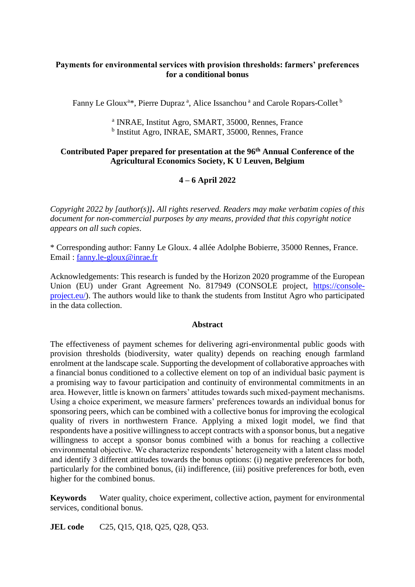#### **Payments for environmental services with provision thresholds: farmers' preferences for a conditional bonus**

Fanny Le Gloux<sup>a\*</sup>, Pierre Dupraz<sup>a</sup>, Alice Issanchou<sup>a</sup> and Carole Ropars-Collet<sup>b</sup>

a INRAE, Institut Agro, SMART, 35000, Rennes, France <sup>b</sup> Institut Agro, INRAE, SMART, 35000, Rennes, France

#### **Contributed Paper prepared for presentation at the 96 th Annual Conference of the Agricultural Economics Society, K U Leuven, Belgium**

#### **4 – 6 April 2022**

*Copyright 2022 by [author(s)]. All rights reserved. Readers may make verbatim copies of this document for non-commercial purposes by any means, provided that this copyright notice appears on all such copies*.

\* Corresponding author: Fanny Le Gloux. 4 allée Adolphe Bobierre, 35000 Rennes, France. Email : [fanny.le-gloux@inrae.fr](mailto:fanny.le-gloux@inrae.fr)

Acknowledgements: This research is funded by the Horizon 2020 programme of the European Union (EU) under Grant Agreement No. 817949 (CONSOLE project, [https://console](https://console-project.eu/)[project.eu/\)](https://console-project.eu/). The authors would like to thank the students from Institut Agro who participated in the data collection.

#### **Abstract**

The effectiveness of payment schemes for delivering agri-environmental public goods with provision thresholds (biodiversity, water quality) depends on reaching enough farmland enrolment at the landscape scale. Supporting the development of collaborative approaches with a financial bonus conditioned to a collective element on top of an individual basic payment is a promising way to favour participation and continuity of environmental commitments in an area. However, little is known on farmers' attitudes towards such mixed-payment mechanisms. Using a choice experiment, we measure farmers' preferences towards an individual bonus for sponsoring peers, which can be combined with a collective bonus for improving the ecological quality of rivers in northwestern France. Applying a mixed logit model, we find that respondents have a positive willingness to accept contracts with a sponsor bonus, but a negative willingness to accept a sponsor bonus combined with a bonus for reaching a collective environmental objective. We characterize respondents' heterogeneity with a latent class model and identify 3 different attitudes towards the bonus options: (i) negative preferences for both, particularly for the combined bonus, (ii) indifference, (iii) positive preferences for both, even higher for the combined bonus.

**Keywords** Water quality, choice experiment, collective action, payment for environmental services, conditional bonus.

**JEL code** C25, Q15, Q18, Q25, Q28, Q53.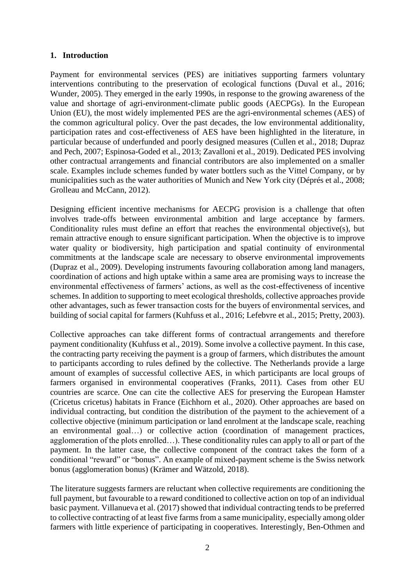#### **1. Introduction**

Payment for environmental services (PES) are initiatives supporting farmers voluntary interventions contributing to the preservation of ecological functions (Duval et al., 2016; Wunder, 2005). They emerged in the early 1990s, in response to the growing awareness of the value and shortage of agri-environment-climate public goods (AECPGs). In the European Union (EU), the most widely implemented PES are the agri-environmental schemes (AES) of the common agricultural policy. Over the past decades, the low environmental additionality, participation rates and cost-effectiveness of AES have been highlighted in the literature, in particular because of underfunded and poorly designed measures (Cullen et al., 2018; Dupraz and Pech, 2007; Espinosa-Goded et al., 2013; Zavalloni et al., 2019). Dedicated PES involving other contractual arrangements and financial contributors are also implemented on a smaller scale. Examples include schemes funded by water bottlers such as the Vittel Company, or by municipalities such as the water authorities of Munich and New York city (Déprés et al., 2008; Grolleau and McCann, 2012).

Designing efficient incentive mechanisms for AECPG provision is a challenge that often involves trade-offs between environmental ambition and large acceptance by farmers. Conditionality rules must define an effort that reaches the environmental objective(s), but remain attractive enough to ensure significant participation. When the objective is to improve water quality or biodiversity, high participation and spatial continuity of environmental commitments at the landscape scale are necessary to observe environmental improvements (Dupraz et al., 2009). Developing instruments favouring collaboration among land managers, coordination of actions and high uptake within a same area are promising ways to increase the environmental effectiveness of farmers' actions, as well as the cost-effectiveness of incentive schemes. In addition to supporting to meet ecological thresholds, collective approaches provide other advantages, such as fewer transaction costs for the buyers of environmental services, and building of social capital for farmers (Kuhfuss et al., 2016; Lefebvre et al., 2015; Pretty, 2003).

Collective approaches can take different forms of contractual arrangements and therefore payment conditionality (Kuhfuss et al., 2019). Some involve a collective payment. In this case, the contracting party receiving the payment is a group of farmers, which distributes the amount to participants according to rules defined by the collective. The Netherlands provide a large amount of examples of successful collective AES, in which participants are local groups of farmers organised in environmental cooperatives (Franks, 2011). Cases from other EU countries are scarce. One can cite the collective AES for preserving the European Hamster (Cricetus cricetus) habitats in France (Eichhorn et al., 2020). Other approaches are based on individual contracting, but condition the distribution of the payment to the achievement of a collective objective (minimum participation or land enrolment at the landscape scale, reaching an environmental goal…) or collective action (coordination of management practices, agglomeration of the plots enrolled…). These conditionality rules can apply to all or part of the payment. In the latter case, the collective component of the contract takes the form of a conditional "reward" or "bonus". An example of mixed-payment scheme is the Swiss network bonus (agglomeration bonus) (Krämer and Wätzold, 2018).

The literature suggests farmers are reluctant when collective requirements are conditioning the full payment, but favourable to a reward conditioned to collective action on top of an individual basic payment. Villanueva et al. (2017) showed that individual contracting tends to be preferred to collective contracting of at least five farms from a same municipality, especially among older farmers with little experience of participating in cooperatives. Interestingly, Ben-Othmen and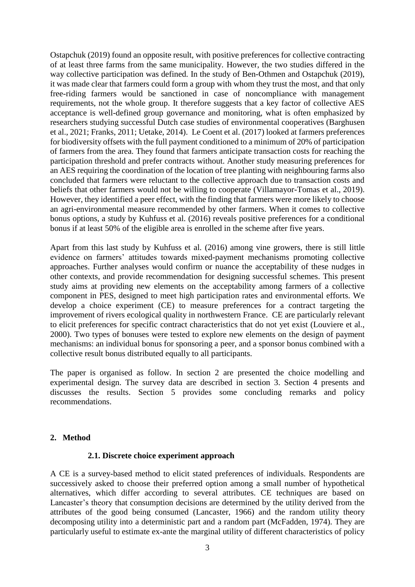Ostapchuk (2019) found an opposite result, with positive preferences for collective contracting of at least three farms from the same municipality. However, the two studies differed in the way collective participation was defined. In the study of Ben-Othmen and Ostapchuk (2019), it was made clear that farmers could form a group with whom they trust the most, and that only free-riding farmers would be sanctioned in case of noncompliance with management requirements, not the whole group. It therefore suggests that a key factor of collective AES acceptance is well-defined group governance and monitoring, what is often emphasized by researchers studying successful Dutch case studies of environmental cooperatives (Barghusen et al., 2021; Franks, 2011; Uetake, 2014). Le Coent et al. (2017) looked at farmers preferences for biodiversity offsets with the full payment conditioned to a minimum of 20% of participation of farmers from the area. They found that farmers anticipate transaction costs for reaching the participation threshold and prefer contracts without. Another study measuring preferences for an AES requiring the coordination of the location of tree planting with neighbouring farms also concluded that farmers were reluctant to the collective approach due to transaction costs and beliefs that other farmers would not be willing to cooperate (Villamayor-Tomas et al., 2019). However, they identified a peer effect, with the finding that farmers were more likely to choose an agri-environmental measure recommended by other farmers. When it comes to collective bonus options, a study by Kuhfuss et al. (2016) reveals positive preferences for a conditional bonus if at least 50% of the eligible area is enrolled in the scheme after five years.

Apart from this last study by Kuhfuss et al. (2016) among vine growers, there is still little evidence on farmers' attitudes towards mixed-payment mechanisms promoting collective approaches. Further analyses would confirm or nuance the acceptability of these nudges in other contexts, and provide recommendation for designing successful schemes. This present study aims at providing new elements on the acceptability among farmers of a collective component in PES, designed to meet high participation rates and environmental efforts. We develop a choice experiment (CE) to measure preferences for a contract targeting the improvement of rivers ecological quality in northwestern France. CE are particularly relevant to elicit preferences for specific contract characteristics that do not yet exist (Louviere et al., 2000). Two types of bonuses were tested to explore new elements on the design of payment mechanisms: an individual bonus for sponsoring a peer, and a sponsor bonus combined with a collective result bonus distributed equally to all participants.

The paper is organised as follow. In section 2 are presented the choice modelling and experimental design. The survey data are described in section 3. Section 4 presents and discusses the results. Section 5 provides some concluding remarks and policy recommendations.

#### **2. Method**

#### **2.1. Discrete choice experiment approach**

A CE is a survey-based method to elicit stated preferences of individuals. Respondents are successively asked to choose their preferred option among a small number of hypothetical alternatives, which differ according to several attributes. CE techniques are based on Lancaster's theory that consumption decisions are determined by the utility derived from the attributes of the good being consumed (Lancaster, 1966) and the random utility theory decomposing utility into a deterministic part and a random part (McFadden, 1974). They are particularly useful to estimate ex-ante the marginal utility of different characteristics of policy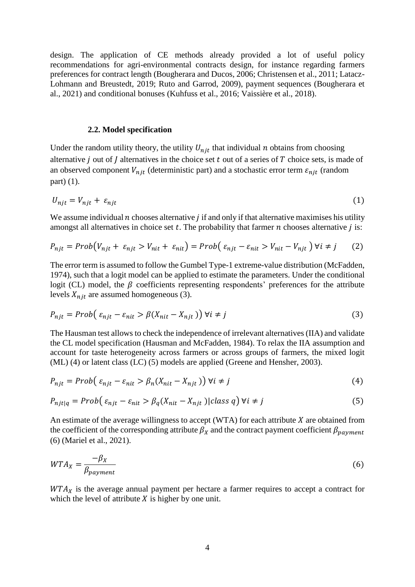design. The application of CE methods already provided a lot of useful policy recommendations for agri-environmental contracts design, for instance regarding farmers preferences for contract length (Bougherara and Ducos, 2006; Christensen et al., 2011; Latacz-Lohmann and Breustedt, 2019; Ruto and Garrod, 2009), payment sequences (Bougherara et al., 2021) and conditional bonuses (Kuhfuss et al., 2016; Vaissière et al., 2018).

#### **2.2. Model specification**

Under the random utility theory, the utility  $U_{n,i}$  that individual n obtains from choosing alternative *j* out of *J* alternatives in the choice set  $t$  out of a series of  $T$  choice sets, is made of an observed component  $V_{njt}$  (deterministic part) and a stochastic error term  $\varepsilon_{njt}$  (random part) (1).

$$
U_{njt} = V_{njt} + \varepsilon_{njt} \tag{1}
$$

We assume individual  $n$  chooses alternative  $j$  if and only if that alternative maximises his utility amongst all alternatives in choice set  $t$ . The probability that farmer  $n$  chooses alternative  $j$  is:

$$
P_{njt} = Prob(V_{njt} + \varepsilon_{njt} > V_{nit} + \varepsilon_{nit}) = Prob(\varepsilon_{njt} - \varepsilon_{nit} > V_{nit} - V_{njt}) \,\forall i \neq j \tag{2}
$$

The error term is assumed to follow the Gumbel Type-1 extreme-value distribution (McFadden, 1974), such that a logit model can be applied to estimate the parameters. Under the conditional logit (CL) model, the  $\beta$  coefficients representing respondents' preferences for the attribute levels  $X_{njt}$  are assumed homogeneous (3).

$$
P_{njt} = Prob(\varepsilon_{njt} - \varepsilon_{nit} > \beta(X_{nit} - X_{njt})) \,\forall i \neq j \tag{3}
$$

The Hausman test allows to check the independence of irrelevant alternatives (IIA) and validate the CL model specification (Hausman and McFadden, 1984). To relax the IIA assumption and account for taste heterogeneity across farmers or across groups of farmers, the mixed logit (ML) (4) or latent class (LC) (5) models are applied (Greene and Hensher, 2003).

$$
P_{njt} = Prob\left(\varepsilon_{njt} - \varepsilon_{nit} > \beta_n(X_{nit} - X_{njt})\right) \forall i \neq j \tag{4}
$$

$$
P_{njt|q} = Prob(\varepsilon_{njt} - \varepsilon_{nit}) \beta_q(X_{nit} - X_{njt}) | class q) \forall i \neq j
$$
 (5)

An estimate of the average willingness to accept (WTA) for each attribute  $X$  are obtained from the coefficient of the corresponding attribute  $\beta_X$  and the contract payment coefficient  $\beta_{\text{vavment}}$ (6) (Mariel et al., 2021).

$$
WTA_X = \frac{-\beta_X}{\beta_{payment}}\tag{6}
$$

 $WTA<sub>X</sub>$  is the average annual payment per hectare a farmer requires to accept a contract for which the level of attribute  $X$  is higher by one unit.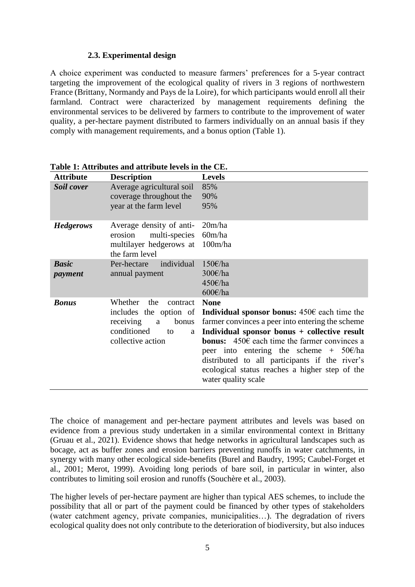#### **2.3. Experimental design**

A choice experiment was conducted to measure farmers' preferences for a 5-year contract targeting the improvement of the ecological quality of rivers in 3 regions of northwestern France (Brittany, Normandy and Pays de la Loire), for which participants would enroll all their farmland. Contract were characterized by management requirements defining the environmental services to be delivered by farmers to contribute to the improvement of water quality, a per-hectare payment distributed to farmers individually on an annual basis if they comply with management requirements, and a bonus option (Table 1).

| <b>Attribute</b>        | <b>Description</b>                                                                                                             | <b>Levels</b>                                                                                                                                                                                                                                                                                                                                                                                                          |
|-------------------------|--------------------------------------------------------------------------------------------------------------------------------|------------------------------------------------------------------------------------------------------------------------------------------------------------------------------------------------------------------------------------------------------------------------------------------------------------------------------------------------------------------------------------------------------------------------|
| Soil cover              | Average agricultural soil<br>coverage throughout the<br>year at the farm level                                                 | 85%<br>90%<br>95%                                                                                                                                                                                                                                                                                                                                                                                                      |
| <b>Hedgerows</b>        | Average density of anti-<br>multi-species<br>erosion<br>multilayer hedgerows at<br>the farm level                              | 20m/ha<br>60m/ha<br>100m/ha                                                                                                                                                                                                                                                                                                                                                                                            |
| <b>Basic</b><br>payment | Per-hectare<br>individual<br>annual payment                                                                                    | 150E/ha<br>300€/ha<br>450€/ha<br>600E/ha                                                                                                                                                                                                                                                                                                                                                                               |
| <b>Bonus</b>            | Whether<br>the<br>contract<br>includes the option of<br>receiving<br>bonus<br>a<br>conditioned<br>to<br>a<br>collective action | <b>None</b><br>Individual sponsor bonus: $450\epsilon$ each time the<br>farmer convinces a peer into entering the scheme<br>Individual sponsor bonus + collective result<br><b>bonus:</b> $450\epsilon$ each time the farmer convinces a<br>peer into entering the scheme + $50\text{€/ha}$<br>distributed to all participants if the river's<br>ecological status reaches a higher step of the<br>water quality scale |

**Table 1: Attributes and attribute levels in the CE.**

The choice of management and per-hectare payment attributes and levels was based on evidence from a previous study undertaken in a similar environmental context in Brittany (Gruau et al., 2021). Evidence shows that hedge networks in agricultural landscapes such as bocage, act as buffer zones and erosion barriers preventing runoffs in water catchments, in synergy with many other ecological side-benefits (Burel and Baudry, 1995; Caubel-Forget et al., 2001; Merot, 1999). Avoiding long periods of bare soil, in particular in winter, also contributes to limiting soil erosion and runoffs (Souchère et al., 2003).

The higher levels of per-hectare payment are higher than typical AES schemes, to include the possibility that all or part of the payment could be financed by other types of stakeholders (water catchment agency, private companies, municipalities…). The degradation of rivers ecological quality does not only contribute to the deterioration of biodiversity, but also induces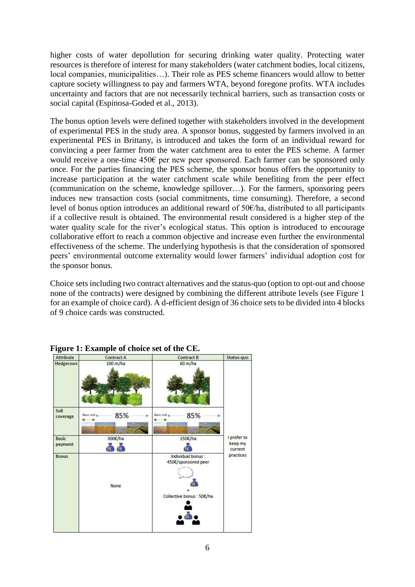higher costs of water depollution for securing drinking water quality. Protecting water resources is therefore of interest for many stakeholders (water catchment bodies, local citizens, local companies, municipalities…). Their role as PES scheme financers would allow to better capture society willingness to pay and farmers WTA, beyond foregone profits. WTA includes uncertainty and factors that are not necessarily technical barriers, such as transaction costs or social capital (Espinosa-Goded et al., 2013).

The bonus option levels were defined together with stakeholders involved in the development of experimental PES in the study area. A sponsor bonus, suggested by farmers involved in an experimental PES in Brittany, is introduced and takes the form of an individual reward for convincing a peer farmer from the water catchment area to enter the PES scheme. A farmer would receive a one-time 450€ per new peer sponsored. Each farmer can be sponsored only once. For the parties financing the PES scheme, the sponsor bonus offers the opportunity to increase participation at the water catchment scale while benefiting from the peer effect (communication on the scheme, knowledge spillover…). For the farmers, sponsoring peers induces new transaction costs (social commitments, time consuming). Therefore, a second level of bonus option introduces an additional reward of 50€/ha, distributed to all participants if a collective result is obtained. The environmental result considered is a higher step of the water quality scale for the river's ecological status. This option is introduced to encourage collaborative effort to reach a common objective and increase even further the environmental effectiveness of the scheme. The underlying hypothesis is that the consideration of sponsored peers' environmental outcome externality would lower farmers' individual adoption cost for the sponsor bonus.

Choice sets including two contract alternatives and the status-quo (option to opt-out and choose none of the contracts) were designed by combining the different attribute levels (see Figure 1 for an example of choice card). A d-efficient design of 36 choice sets to be divided into 4 blocks of 9 choice cards was constructed.

| <b>Attribute</b>        | <b>Contract A</b>    | <b>Contract B</b>                                                          |                                   |
|-------------------------|----------------------|----------------------------------------------------------------------------|-----------------------------------|
| <b>Hedgerows</b>        | $100 \text{ m/ha}$   | 60 m/ha                                                                    |                                   |
| Soil<br>coverage        | 85%<br>Bare soil     | 85%<br>Bare soil                                                           |                                   |
| <b>Basic</b><br>payment | 300€/ha<br>$\bullet$ | 150€/ha                                                                    | I prefer to<br>keep my<br>current |
| <b>Bonus</b>            | <b>None</b>          | Individual bonus:<br>450€/sponsored peer<br>G<br>Collective bonus : 50€/ha | practices                         |

#### **Figure 1: Example of choice set of the CE.**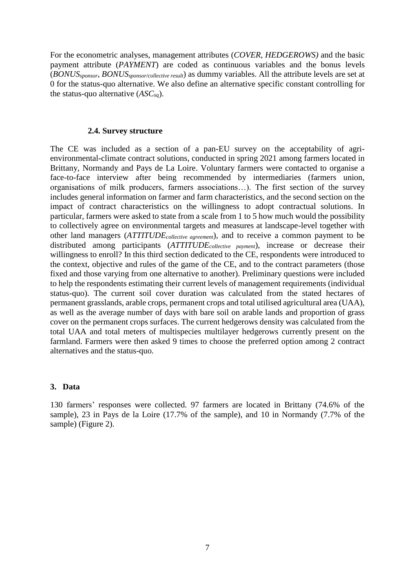For the econometric analyses, management attributes (*COVER*, *HEDGEROWS)* and the basic payment attribute (*PAYMENT*) are coded as continuous variables and the bonus levels (*BONUSsponsor*, *BONUSsponsor/collective result*) as dummy variables. All the attribute levels are set at 0 for the status-quo alternative. We also define an alternative specific constant controlling for the status-quo alternative (*ASCsq*).

#### **2.4. Survey structure**

The CE was included as a section of a pan-EU survey on the acceptability of agrienvironmental-climate contract solutions, conducted in spring 2021 among farmers located in Brittany, Normandy and Pays de La Loire. Voluntary farmers were contacted to organise a face-to-face interview after being recommended by intermediaries (farmers union, organisations of milk producers, farmers associations…). The first section of the survey includes general information on farmer and farm characteristics, and the second section on the impact of contract characteristics on the willingness to adopt contractual solutions. In particular, farmers were asked to state from a scale from 1 to 5 how much would the possibility to collectively agree on environmental targets and measures at landscape-level together with other land managers (*ATTITUDEcollective agreement*), and to receive a common payment to be distributed among participants (*ATTITUDEcollective payment*), increase or decrease their willingness to enroll? In this third section dedicated to the CE, respondents were introduced to the context, objective and rules of the game of the CE, and to the contract parameters (those fixed and those varying from one alternative to another). Preliminary questions were included to help the respondents estimating their current levels of management requirements (individual status-quo). The current soil cover duration was calculated from the stated hectares of permanent grasslands, arable crops, permanent crops and total utilised agricultural area (UAA), as well as the average number of days with bare soil on arable lands and proportion of grass cover on the permanent crops surfaces. The current hedgerows density was calculated from the total UAA and total meters of multispecies multilayer hedgerows currently present on the farmland. Farmers were then asked 9 times to choose the preferred option among 2 contract alternatives and the status-quo.

#### **3. Data**

130 farmers' responses were collected. 97 farmers are located in Brittany (74.6% of the sample), 23 in Pays de la Loire (17.7% of the sample), and 10 in Normandy (7.7% of the sample) (Figure 2).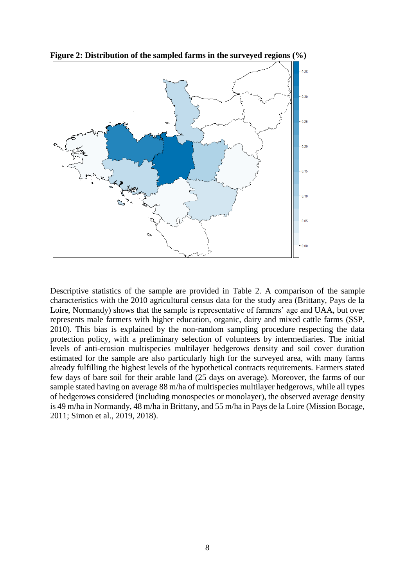

**Figure 2: Distribution of the sampled farms in the surveyed regions (%)**

Descriptive statistics of the sample are provided in Table 2. A comparison of the sample characteristics with the 2010 agricultural census data for the study area (Brittany, Pays de la Loire, Normandy) shows that the sample is representative of farmers' age and UAA, but over represents male farmers with higher education, organic, dairy and mixed cattle farms (SSP, 2010). This bias is explained by the non-random sampling procedure respecting the data protection policy, with a preliminary selection of volunteers by intermediaries. The initial levels of anti-erosion multispecies multilayer hedgerows density and soil cover duration estimated for the sample are also particularly high for the surveyed area, with many farms already fulfilling the highest levels of the hypothetical contracts requirements. Farmers stated few days of bare soil for their arable land (25 days on average). Moreover, the farms of our sample stated having on average 88 m/ha of multispecies multilayer hedgerows, while all types of hedgerows considered (including monospecies or monolayer), the observed average density is 49 m/ha in Normandy, 48 m/ha in Brittany, and 55 m/ha in Pays de la Loire (Mission Bocage, 2011; Simon et al., 2019, 2018).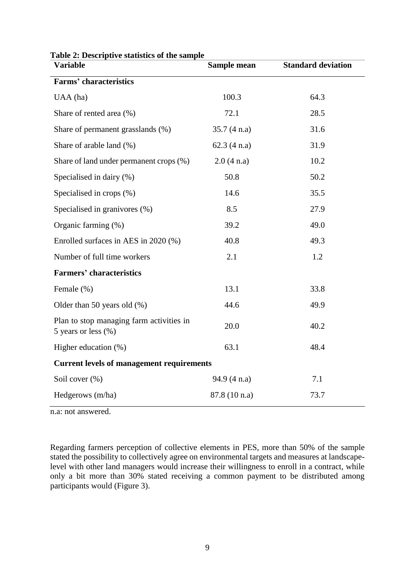| <b>Variable</b>                                                     | Sample mean   | <b>Standard deviation</b> |  |  |  |
|---------------------------------------------------------------------|---------------|---------------------------|--|--|--|
| <b>Farms' characteristics</b>                                       |               |                           |  |  |  |
| UAA (ha)                                                            | 100.3         | 64.3                      |  |  |  |
| Share of rented area (%)                                            | 72.1          | 28.5                      |  |  |  |
| Share of permanent grasslands (%)                                   | 35.7(4 n.a)   | 31.6                      |  |  |  |
| Share of arable land (%)                                            | 62.3(4 n.a)   | 31.9                      |  |  |  |
| Share of land under permanent crops (%)                             | 2.0(4 n.a)    | 10.2                      |  |  |  |
| Specialised in dairy (%)                                            | 50.8          | 50.2                      |  |  |  |
| Specialised in crops (%)                                            | 14.6          | 35.5                      |  |  |  |
| Specialised in granivores (%)                                       | 8.5           | 27.9                      |  |  |  |
| Organic farming (%)                                                 | 39.2          | 49.0                      |  |  |  |
| Enrolled surfaces in AES in 2020 (%)                                | 40.8          | 49.3                      |  |  |  |
| Number of full time workers                                         | 2.1           | 1.2                       |  |  |  |
| <b>Farmers' characteristics</b>                                     |               |                           |  |  |  |
| Female (%)                                                          | 13.1          | 33.8                      |  |  |  |
| Older than 50 years old $(\%)$                                      | 44.6          | 49.9                      |  |  |  |
| Plan to stop managing farm activities in<br>5 years or less $(\% )$ | 20.0          | 40.2                      |  |  |  |
| Higher education (%)                                                | 63.1          | 48.4                      |  |  |  |
| <b>Current levels of management requirements</b>                    |               |                           |  |  |  |
| Soil cover (%)                                                      | 94.9(4 n.a)   | 7.1                       |  |  |  |
| Hedgerows (m/ha)                                                    | 87.8 (10 n.a) | 73.7                      |  |  |  |

**Table 2: Descriptive statistics of the sample**

n.a: not answered.

Regarding farmers perception of collective elements in PES, more than 50% of the sample stated the possibility to collectively agree on environmental targets and measures at landscapelevel with other land managers would increase their willingness to enroll in a contract, while only a bit more than 30% stated receiving a common payment to be distributed among participants would (Figure 3).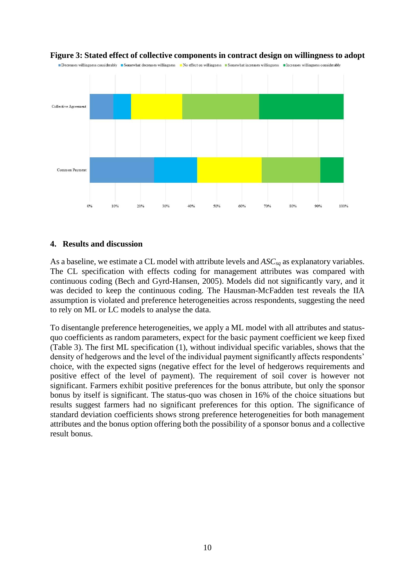

#### **Figure 3: Stated effect of collective components in contract design on willingness to adopt**

Decreases willingness considerably Somewhat decreases willingness No effect on willingness Nomewhat increases willingness Norreases willingness considerably

#### **4. Results and discussion**

As a baseline, we estimate a CL model with attribute levels and *ASCsq* as explanatory variables. The CL specification with effects coding for management attributes was compared with continuous coding (Bech and Gyrd-Hansen, 2005). Models did not significantly vary, and it was decided to keep the continuous coding. The Hausman-McFadden test reveals the IIA assumption is violated and preference heterogeneities across respondents, suggesting the need to rely on ML or LC models to analyse the data.

To disentangle preference heterogeneities, we apply a ML model with all attributes and statusquo coefficients as random parameters, expect for the basic payment coefficient we keep fixed (Table 3). The first ML specification (1), without individual specific variables, shows that the density of hedgerows and the level of the individual payment significantly affects respondents' choice, with the expected signs (negative effect for the level of hedgerows requirements and positive effect of the level of payment). The requirement of soil cover is however not significant. Farmers exhibit positive preferences for the bonus attribute, but only the sponsor bonus by itself is significant. The status-quo was chosen in 16% of the choice situations but results suggest farmers had no significant preferences for this option. The significance of standard deviation coefficients shows strong preference heterogeneities for both management attributes and the bonus option offering both the possibility of a sponsor bonus and a collective result bonus.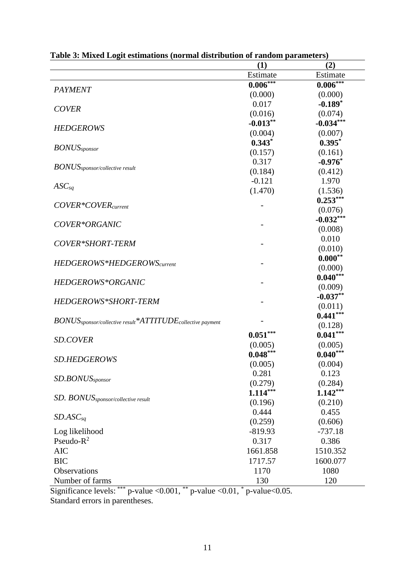| (1)<br>(2)                                                                                    |  |
|-----------------------------------------------------------------------------------------------|--|
| Estimate<br>Estimate                                                                          |  |
| $0.006***$<br>$0.006***$<br><b>PAYMENT</b>                                                    |  |
| (0.000)<br>(0.000)                                                                            |  |
| $-0.189*$<br>0.017<br><b>COVER</b>                                                            |  |
| (0.016)<br>(0.074)                                                                            |  |
| $-0.013**$<br>$-0.034***$<br><b>HEDGEROWS</b>                                                 |  |
| (0.004)<br>(0.007)                                                                            |  |
| $0.343*$<br>$0.395*$                                                                          |  |
| $BONUS_{sponsor}$<br>(0.157)<br>(0.161)                                                       |  |
| 0.317<br>$-0.976*$                                                                            |  |
| $BONUS_{sponsor/collective result}$<br>(0.184)<br>(0.412)                                     |  |
| $-0.121$<br>1.970                                                                             |  |
| $ASC_{sq}$<br>(1.470)<br>(1.536)                                                              |  |
| $0.253***$                                                                                    |  |
| COVER*COVER <sub>current</sub><br>(0.076)                                                     |  |
| $-0.032***$                                                                                   |  |
| COVER*ORGANIC<br>(0.008)                                                                      |  |
| 0.010                                                                                         |  |
| COVER*SHORT-TERM<br>(0.010)                                                                   |  |
| $0.000**$                                                                                     |  |
| HEDGEROWS*HEDGEROWS <sub>current</sub><br>(0.000)                                             |  |
| $0.040***$                                                                                    |  |
| HEDGEROWS*ORGANIC<br>(0.009)                                                                  |  |
| $-0.037**$                                                                                    |  |
| HEDGEROWS*SHORT-TERM<br>(0.011)                                                               |  |
| $0.441***$                                                                                    |  |
| BONUS <sub>sponsor/collective result</sub> *ATTITUDE <sub>collective payment</sub><br>(0.128) |  |
| $0.041***$<br>$0.051***$                                                                      |  |
| <b>SD.COVER</b><br>(0.005)<br>(0.005)                                                         |  |
| $0.048***$<br>$0.040***$                                                                      |  |
| <b>SD.HEDGEROWS</b><br>(0.005)<br>(0.004)                                                     |  |
| 0.281<br>0.123                                                                                |  |
| SD.BONUS <sub>sponsor</sub><br>(0.279)<br>(0.284)                                             |  |
| $1.142***$<br>$1.114***$                                                                      |  |
| SD. BONUS <sub>sponsor/collective result</sub><br>(0.196)<br>(0.210)                          |  |
| 0.444<br>0.455                                                                                |  |
| $SD. ASC_{sq}$<br>(0.259)<br>(0.606)                                                          |  |
| Log likelihood<br>$-819.93$<br>$-737.18$                                                      |  |
| Pseudo- $R^2$<br>0.317<br>0.386                                                               |  |
| <b>AIC</b><br>1661.858<br>1510.352                                                            |  |
| <b>BIC</b><br>1717.57<br>1600.077                                                             |  |
| Observations<br>1080<br>1170                                                                  |  |
| Number of farms<br>130<br>120                                                                 |  |

|  | Table 3: Mixed Logit estimations (normal distribution of random parameters) |  |  |
|--|-----------------------------------------------------------------------------|--|--|
|  |                                                                             |  |  |

Significance levels: \*\*\* p-value <  $0.001$ , \*\* p-value <  $0.01$ , \* p-value <  $0.05$ . Standard errors in parentheses.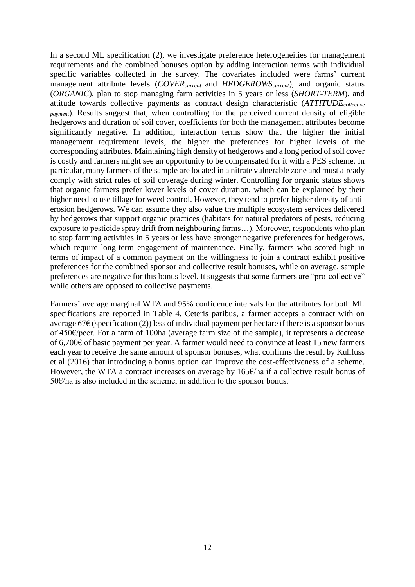In a second ML specification (2), we investigate preference heterogeneities for management requirements and the combined bonuses option by adding interaction terms with individual specific variables collected in the survey. The covariates included were farms' current management attribute levels (*COVERcurren<sup>t</sup>* and *HEDGEROWScurrent*), and organic status (*ORGANIC*), plan to stop managing farm activities in 5 years or less (*SHORT-TERM*), and attitude towards collective payments as contract design characteristic (*ATTITUDEcollective payment*). Results suggest that, when controlling for the perceived current density of eligible hedgerows and duration of soil cover, coefficients for both the management attributes become significantly negative. In addition, interaction terms show that the higher the initial management requirement levels, the higher the preferences for higher levels of the corresponding attributes. Maintaining high density of hedgerows and a long period of soil cover is costly and farmers might see an opportunity to be compensated for it with a PES scheme. In particular, many farmers of the sample are located in a nitrate vulnerable zone and must already comply with strict rules of soil coverage during winter. Controlling for organic status shows that organic farmers prefer lower levels of cover duration, which can be explained by their higher need to use tillage for weed control. However, they tend to prefer higher density of antierosion hedgerows. We can assume they also value the multiple ecosystem services delivered by hedgerows that support organic practices (habitats for natural predators of pests, reducing exposure to pesticide spray drift from neighbouring farms…). Moreover, respondents who plan to stop farming activities in 5 years or less have stronger negative preferences for hedgerows, which require long-term engagement of maintenance. Finally, farmers who scored high in terms of impact of a common payment on the willingness to join a contract exhibit positive preferences for the combined sponsor and collective result bonuses, while on average, sample preferences are negative for this bonus level. It suggests that some farmers are "pro-collective" while others are opposed to collective payments.

Farmers' average marginal WTA and 95% confidence intervals for the attributes for both ML specifications are reported in Table 4. Ceteris paribus, a farmer accepts a contract with on average 67 $\epsilon$  (specification (2)) less of individual payment per hectare if there is a sponsor bonus of 450€/peer. For a farm of 100ha (average farm size of the sample), it represents a decrease of 6,700€ of basic payment per year. A farmer would need to convince at least 15 new farmers each year to receive the same amount of sponsor bonuses, what confirms the result by Kuhfuss et al (2016) that introducing a bonus option can improve the cost-effectiveness of a scheme. However, the WTA a contract increases on average by 165€/ha if a collective result bonus of 50€/ha is also included in the scheme, in addition to the sponsor bonus.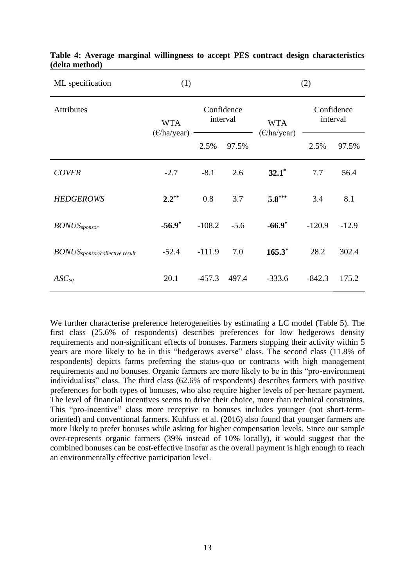| ML specification                             | (1)                                 |                        |        |                             | (2)                    |         |
|----------------------------------------------|-------------------------------------|------------------------|--------|-----------------------------|------------------------|---------|
| <b>Attributes</b>                            | <b>WTA</b><br>$(\epsilon$ /ha/year) | Confidence<br>interval |        | <b>WTA</b>                  | Confidence<br>interval |         |
|                                              |                                     | 2.5%                   | 97.5%  | $(\epsilon/\text{ha/year})$ | 2.5%                   | 97.5%   |
| <b>COVER</b>                                 | $-2.7$                              | $-8.1$                 | 2.6    | $32.1^*$                    | 7.7                    | 56.4    |
| <b>HEDGEROWS</b>                             | $2.2^{**}$                          | 0.8                    | 3.7    | $5.8***$                    | 3.4                    | 8.1     |
| <b>BONUS</b> <sub>sponsor</sub>              | $-56.9*$                            | $-108.2$               | $-5.6$ | $-66.9*$                    | $-120.9$               | $-12.9$ |
| $\it BONUS_{\rm sponsor/collections}$ result | $-52.4$                             | $-111.9$               | 7.0    | $165.3^*$                   | 28.2                   | 302.4   |
| $ASC_{sq}$                                   | 20.1                                | $-457.3$               | 497.4  | $-333.6$                    | $-842.3$               | 175.2   |

#### **Table 4: Average marginal willingness to accept PES contract design characteristics (delta method)**

We further characterise preference heterogeneities by estimating a LC model (Table 5). The first class (25.6% of respondents) describes preferences for low hedgerows density requirements and non-significant effects of bonuses. Farmers stopping their activity within 5 years are more likely to be in this "hedgerows averse" class. The second class (11.8% of respondents) depicts farms preferring the status-quo or contracts with high management requirements and no bonuses. Organic farmers are more likely to be in this "pro-environment individualists" class. The third class (62.6% of respondents) describes farmers with positive preferences for both types of bonuses, who also require higher levels of per-hectare payment. The level of financial incentives seems to drive their choice, more than technical constraints. This "pro-incentive" class more receptive to bonuses includes younger (not short-termoriented) and conventional farmers. Kuhfuss et al. (2016) also found that younger farmers are more likely to prefer bonuses while asking for higher compensation levels. Since our sample over-represents organic farmers (39% instead of 10% locally), it would suggest that the combined bonuses can be cost-effective insofar as the overall payment is high enough to reach an environmentally effective participation level.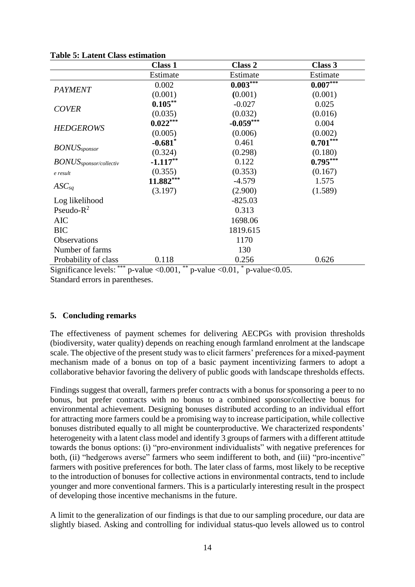| Estimate    | Estimate                                        |
|-------------|-------------------------------------------------|
|             | $0.007***$                                      |
| (0.001)     | (0.001)                                         |
| $-0.027$    | 0.025                                           |
| (0.032)     | (0.016)                                         |
| $-0.059***$ | 0.004                                           |
| (0.006)     | (0.002)                                         |
| 0.461       | $0.701***$                                      |
| (0.298)     | (0.180)                                         |
| 0.122       | $0.795***$                                      |
| (0.353)     | (0.167)                                         |
| $-4.579$    | 1.575                                           |
| (2.900)     | (1.589)                                         |
| $-825.03$   |                                                 |
| 0.313       |                                                 |
| 1698.06     |                                                 |
| 1819.615    |                                                 |
| 1170        |                                                 |
| 130         |                                                 |
| 0.256       | 0.626                                           |
|             | $0.003***$<br>*<br>0.04<br>$\sim$ $\sim$ $\sim$ |

#### **Table 5: Latent Class estimation**

Significance levels: \*\*\* p-value <  $0.001$ , \*\* p-value <  $0.01$ , \* p-value <  $0.05$ . Standard errors in parentheses.

#### **5. Concluding remarks**

The effectiveness of payment schemes for delivering AECPGs with provision thresholds (biodiversity, water quality) depends on reaching enough farmland enrolment at the landscape scale. The objective of the present study was to elicit farmers' preferences for a mixed-payment mechanism made of a bonus on top of a basic payment incentivizing farmers to adopt a collaborative behavior favoring the delivery of public goods with landscape thresholds effects.

Findings suggest that overall, farmers prefer contracts with a bonus for sponsoring a peer to no bonus, but prefer contracts with no bonus to a combined sponsor/collective bonus for environmental achievement. Designing bonuses distributed according to an individual effort for attracting more farmers could be a promising way to increase participation, while collective bonuses distributed equally to all might be counterproductive. We characterized respondents' heterogeneity with a latent class model and identify 3 groups of farmers with a different attitude towards the bonus options: (i) "pro-environment individualists" with negative preferences for both, (ii) "hedgerows averse" farmers who seem indifferent to both, and (iii) "pro-incentive" farmers with positive preferences for both. The later class of farms, most likely to be receptive to the introduction of bonuses for collective actions in environmental contracts, tend to include younger and more conventional farmers. This is a particularly interesting result in the prospect of developing those incentive mechanisms in the future.

A limit to the generalization of our findings is that due to our sampling procedure, our data are slightly biased. Asking and controlling for individual status-quo levels allowed us to control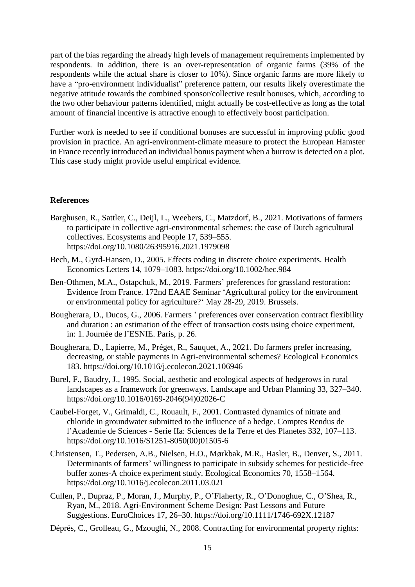part of the bias regarding the already high levels of management requirements implemented by respondents. In addition, there is an over-representation of organic farms (39% of the respondents while the actual share is closer to 10%). Since organic farms are more likely to have a "pro-environment individualist" preference pattern, our results likely overestimate the negative attitude towards the combined sponsor/collective result bonuses, which, according to the two other behaviour patterns identified, might actually be cost-effective as long as the total amount of financial incentive is attractive enough to effectively boost participation.

Further work is needed to see if conditional bonuses are successful in improving public good provision in practice. An agri-environment-climate measure to protect the European Hamster in France recently introduced an individual bonus payment when a burrow is detected on a plot. This case study might provide useful empirical evidence.

#### **References**

- Barghusen, R., Sattler, C., Deijl, L., Weebers, C., Matzdorf, B., 2021. Motivations of farmers to participate in collective agri-environmental schemes: the case of Dutch agricultural collectives. Ecosystems and People 17, 539–555. https://doi.org/10.1080/26395916.2021.1979098
- Bech, M., Gyrd-Hansen, D., 2005. Effects coding in discrete choice experiments. Health Economics Letters 14, 1079–1083. https://doi.org/10.1002/hec.984
- Ben-Othmen, M.A., Ostapchuk, M., 2019. Farmers' preferences for grassland restoration: Evidence from France. 172nd EAAE Seminar 'Agricultural policy for the environment or environmental policy for agriculture?' May 28-29, 2019. Brussels.
- Bougherara, D., Ducos, G., 2006. Farmers ' preferences over conservation contract flexibility and duration : an estimation of the effect of transaction costs using choice experiment, in: 1. Journée de l'ESNIE. Paris, p. 26.
- Bougherara, D., Lapierre, M., Préget, R., Sauquet, A., 2021. Do farmers prefer increasing, decreasing, or stable payments in Agri-environmental schemes? Ecological Economics 183. https://doi.org/10.1016/j.ecolecon.2021.106946
- Burel, F., Baudry, J., 1995. Social, aesthetic and ecological aspects of hedgerows in rural landscapes as a framework for greenways. Landscape and Urban Planning 33, 327–340. https://doi.org/10.1016/0169-2046(94)02026-C
- Caubel-Forget, V., Grimaldi, C., Rouault, F., 2001. Contrasted dynamics of nitrate and chloride in groundwater submitted to the influence of a hedge. Comptes Rendus de l'Academie de Sciences - Serie IIa: Sciences de la Terre et des Planetes 332, 107–113. https://doi.org/10.1016/S1251-8050(00)01505-6
- Christensen, T., Pedersen, A.B., Nielsen, H.O., Mørkbak, M.R., Hasler, B., Denver, S., 2011. Determinants of farmers' willingness to participate in subsidy schemes for pesticide-free buffer zones-A choice experiment study. Ecological Economics 70, 1558–1564. https://doi.org/10.1016/j.ecolecon.2011.03.021
- Cullen, P., Dupraz, P., Moran, J., Murphy, P., O'Flaherty, R., O'Donoghue, C., O'Shea, R., Ryan, M., 2018. Agri-Environment Scheme Design: Past Lessons and Future Suggestions. EuroChoices 17, 26–30. https://doi.org/10.1111/1746-692X.12187
- Déprés, C., Grolleau, G., Mzoughi, N., 2008. Contracting for environmental property rights: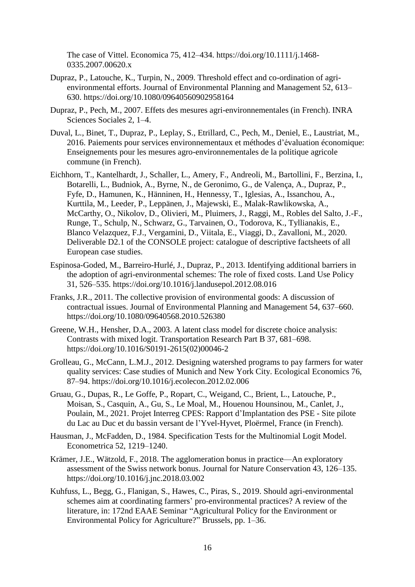The case of Vittel. Economica 75, 412–434. https://doi.org/10.1111/j.1468- 0335.2007.00620.x

- Dupraz, P., Latouche, K., Turpin, N., 2009. Threshold effect and co-ordination of agrienvironmental efforts. Journal of Environmental Planning and Management 52, 613– 630. https://doi.org/10.1080/09640560902958164
- Dupraz, P., Pech, M., 2007. Effets des mesures agri-environnementales (in French). INRA Sciences Sociales 2, 1–4.
- Duval, L., Binet, T., Dupraz, P., Leplay, S., Etrillard, C., Pech, M., Deniel, E., Laustriat, M., 2016. Paiements pour services environnementaux et méthodes d'évaluation économique: Enseignements pour les mesures agro-environnementales de la politique agricole commune (in French).
- Eichhorn, T., Kantelhardt, J., Schaller, L., Amery, F., Andreoli, M., Bartollini, F., Berzina, I., Botarelli, L., Budniok, A., Byrne, N., de Geronimo, G., de Valença, A., Dupraz, P., Fyfe, D., Hamunen, K., Hänninen, H., Hennessy, T., Iglesias, A., Issanchou, A., Kurttila, M., Leeder, P., Leppänen, J., Majewski, E., Malak-Rawlikowska, A., McCarthy, O., Nikolov, D., Olivieri, M., Pluimers, J., Raggi, M., Robles del Salto, J.-F., Runge, T., Schulp, N., Schwarz, G., Tarvainen, O., Todorova, K., Tyllianakis, E., Blanco Velazquez, F.J., Vergamini, D., Viitala, E., Viaggi, D., Zavalloni, M., 2020. Deliverable D2.1 of the CONSOLE project: catalogue of descriptive factsheets of all European case studies.
- Espinosa-Goded, M., Barreiro-Hurlé, J., Dupraz, P., 2013. Identifying additional barriers in the adoption of agri-environmental schemes: The role of fixed costs. Land Use Policy 31, 526–535. https://doi.org/10.1016/j.landusepol.2012.08.016
- Franks, J.R., 2011. The collective provision of environmental goods: A discussion of contractual issues. Journal of Environmental Planning and Management 54, 637–660. https://doi.org/10.1080/09640568.2010.526380
- Greene, W.H., Hensher, D.A., 2003. A latent class model for discrete choice analysis: Contrasts with mixed logit. Transportation Research Part B 37, 681–698. https://doi.org/10.1016/S0191-2615(02)00046-2
- Grolleau, G., McCann, L.M.J., 2012. Designing watershed programs to pay farmers for water quality services: Case studies of Munich and New York City. Ecological Economics 76, 87–94. https://doi.org/10.1016/j.ecolecon.2012.02.006
- Gruau, G., Dupas, R., Le Goffe, P., Ropart, C., Weigand, C., Brient, L., Latouche, P., Moisan, S., Casquin, A., Gu, S., Le Moal, M., Houenou Hounsinou, M., Canlet, J., Poulain, M., 2021. Projet Interreg CPES: Rapport d'Implantation des PSE - Site pilote du Lac au Duc et du bassin versant de l'Yvel-Hyvet, Ploërmel, France (in French).
- Hausman, J., McFadden, D., 1984. Specification Tests for the Multinomial Logit Model. Econometrica 52, 1219–1240.
- Krämer, J.E., Wätzold, F., 2018. The agglomeration bonus in practice—An exploratory assessment of the Swiss network bonus. Journal for Nature Conservation 43, 126–135. https://doi.org/10.1016/j.jnc.2018.03.002
- Kuhfuss, L., Begg, G., Flanigan, S., Hawes, C., Piras, S., 2019. Should agri-environmental schemes aim at coordinating farmers' pro-environmental practices? A review of the literature, in: 172nd EAAE Seminar "Agricultural Policy for the Environment or Environmental Policy for Agriculture?" Brussels, pp. 1–36.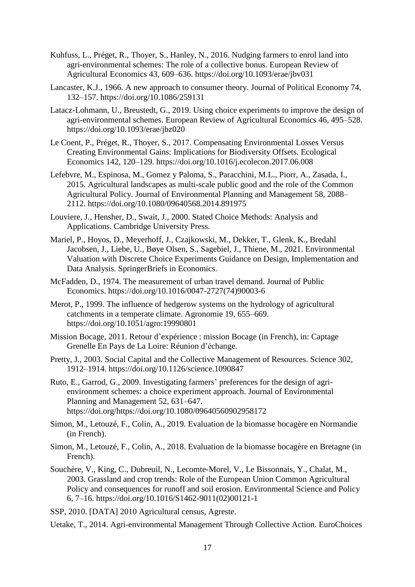- Kuhfuss, L., Préget, R., Thoyer, S., Hanley, N., 2016. Nudging farmers to enrol land into agri-environmental schemes: The role of a collective bonus. European Review of Agricultural Economics 43, 609–636. https://doi.org/10.1093/erae/jbv031
- Lancaster, K.J., 1966. A new approach to consumer theory. Journal of Political Economy 74, 132–157. https://doi.org/10.1086/259131
- Latacz-Lohmann, U., Breustedt, G., 2019. Using choice experiments to improve the design of agri-environmental schemes. European Review of Agricultural Economics 46, 495–528. https://doi.org/10.1093/erae/jbz020
- Le Coent, P., Préget, R., Thoyer, S., 2017. Compensating Environmental Losses Versus Creating Environmental Gains: Implications for Biodiversity Offsets. Ecological Economics 142, 120–129. https://doi.org/10.1016/j.ecolecon.2017.06.008
- Lefebvre, M., Espinosa, M., Gomez y Paloma, S., Paracchini, M.L., Piorr, A., Zasada, I., 2015. Agricultural landscapes as multi-scale public good and the role of the Common Agricultural Policy. Journal of Environmental Planning and Management 58, 2088– 2112. https://doi.org/10.1080/09640568.2014.891975
- Louviere, J., Hensher, D., Swait, J., 2000. Stated Choice Methods: Analysis and Applications. Cambridge University Press.
- Mariel, P., Hoyos, D., Meyerhoff, J., Czajkowski, M., Dekker, T., Glenk, K., Bredahl Jacobsen, J., Liebe, U., Bøye Olsen, S., Sagebiel, J., Thiene, M., 2021. Environmental Valuation with Discrete Choice Experiments Guidance on Design, Implementation and Data Analysis. SpringerBriefs in Economics.
- McFadden, D., 1974. The measurement of urban travel demand. Journal of Public Economics. https://doi.org/10.1016/0047-2727(74)90003-6
- Merot, P., 1999. The influence of hedgerow systems on the hydrology of agricultural catchments in a temperate climate. Agronomie 19, 655–669. https://doi.org/10.1051/agro:19990801
- Mission Bocage, 2011. Retour d'expérience : mission Bocage (in French), in: Captage Grenelle En Pays de La Loire: Réunion d'échange.
- Pretty, J., 2003. Social Capital and the Collective Management of Resources. Science 302, 1912–1914. https://doi.org/10.1126/science.1090847
- Ruto, E., Garrod, G., 2009. Investigating farmers' preferences for the design of agrienvironment schemes: a choice experiment approach. Journal of Environmental Planning and Management 52, 631–647. https://doi.org/https://doi.org/10.1080/09640560902958172
- Simon, M., Letouzé, F., Colin, A., 2019. Evaluation de la biomasse bocagère en Normandie (in French).
- Simon, M., Letouzé, F., Colin, A., 2018. Evaluation de la biomasse bocagère en Bretagne (in French).
- Souchère, V., King, C., Dubreuil, N., Lecomte-Morel, V., Le Bissonnais, Y., Chalat, M., 2003. Grassland and crop trends: Role of the European Union Common Agricultural Policy and consequences for runoff and soil erosion. Environmental Science and Policy 6, 7–16. https://doi.org/10.1016/S1462-9011(02)00121-1
- SSP, 2010. [DATA] 2010 Agricultural census, Agreste.
- Uetake, T., 2014. Agri-environmental Management Through Collective Action. EuroChoices